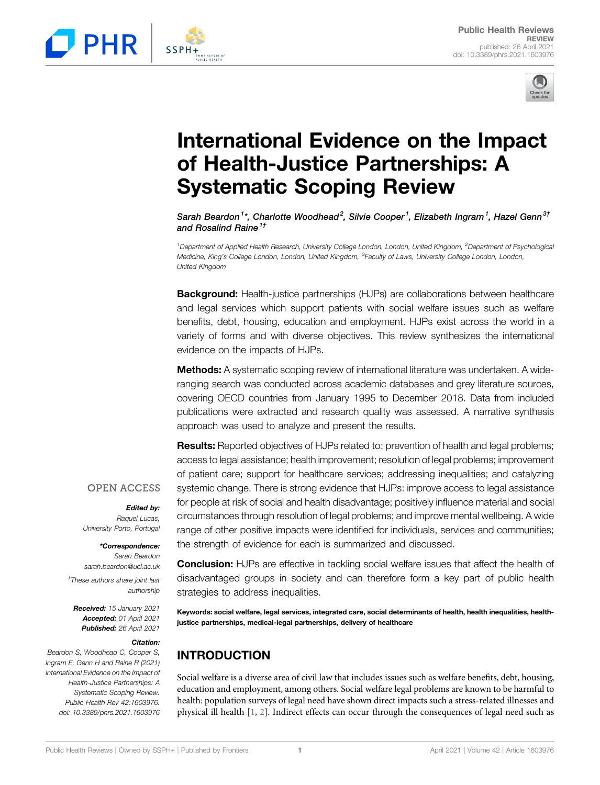



# International Evidence on the Impact of Health-Justice Partnerships: A Systematic Scoping Review

Sarah Beardon $^{1*}$ , Charlotte Woodhead $^{2}$ , Silvie Cooper $^{1}$ , Elizabeth Ingram $^{1}$ , Hazel Genn $^{3\dagger}$ and Rosalind Raine<sup>1†</sup>

<sup>1</sup>Department of Applied Health Research, University College London, London, United Kingdom, <sup>2</sup>Department of Psychologica Medicine, King's College London, London, United Kingdom, <sup>3</sup>Faculty of Laws, University College London, London, United Kingdom

**Background:** Health-justice partnerships (HJPs) are collaborations between healthcare and legal services which support patients with social welfare issues such as welfare benefits, debt, housing, education and employment. HJPs exist across the world in a variety of forms and with diverse objectives. This review synthesizes the international evidence on the impacts of HJPs.

**Methods:** A systematic scoping review of international literature was undertaken. A wideranging search was conducted across academic databases and grey literature sources, covering OECD countries from January 1995 to December 2018. Data from included publications were extracted and research quality was assessed. A narrative synthesis approach was used to analyze and present the results.

Results: Reported objectives of HJPs related to: prevention of health and legal problems; access to legal assistance; health improvement; resolution of legal problems; improvement of patient care; support for healthcare services; addressing inequalities; and catalyzing systemic change. There is strong evidence that HJPs: improve access to legal assistance for people at risk of social and health disadvantage; positively influence material and social circumstances through resolution of legal problems; and improve mental wellbeing. A wide range of other positive impacts were identified for individuals, services and communities; the strength of evidence for each is summarized and discussed. **PHR**<br> **Public Health-Justice Partnerships: A**<br> **Systematic Coping Review April 2021**<br> **Systematic Scoping Review April 2021**<br> **Systematic Scoping Review April 2021**<br> **Systematic Scoping Review April 2021**<br> **Systematic Sc** 

Edited by:

Raquel Lucas, University Porto, Portugal

#### \*Correspondence:

Sarah Beardon [sarah.beardon@ucl.ac.uk](mailto:sarah.beardon@ucl.ac.uk) † These authors share joint last authorship

Received: 15 January 2021 Accepted: 01 April 2021 Published: 26 April 2021

#### Citation:

Beardon S, Woodhead C, Cooper S, Ingram E, Genn H and Raine R (2021) International Evidence on the Impact of Health-Justice Partnerships: A Systematic Scoping Review. Public Health Rev 42:1603976. doi: [10.3389/phrs.2021.1603976](https://doi.org/10.3389/phrs.2021.1603976)

Conclusion: HJPs are effective in tackling social welfare issues that affect the health of disadvantaged groups in society and can therefore form a key part of public health strategies to address inequalities.

Keywords: social welfare, legal services, integrated care, social determinants of health, health inequalities, healthjustice partnerships, medical-legal partnerships, delivery of healthcare

## INTRODUCTION

Social welfare is a diverse area of civil law that includes issues such as welfare benefits, debt, housing, education and employment, among others. Social welfare legal problems are known to be harmful to health: population surveys of legal need have shown direct impacts such a stress-related illnesses and physical ill health [[1](#page-7-0), [2](#page-7-1)]. Indirect effects can occur through the consequences of legal need such as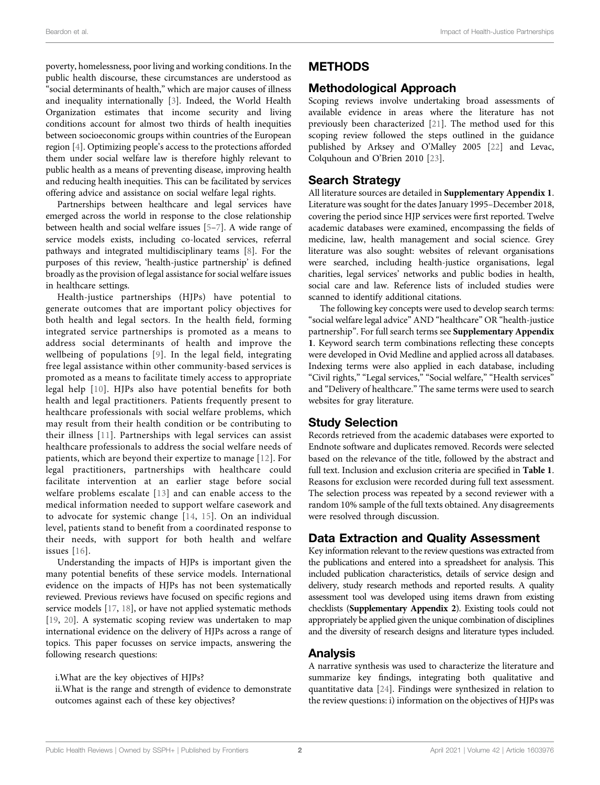poverty, homelessness, poor living and working conditions. In the public health discourse, these circumstances are understood as "social determinants of health," which are major causes of illness and inequality internationally [\[3\]](#page-7-2). Indeed, the World Health Organization estimates that income security and living conditions account for almost two thirds of health inequities between socioeconomic groups within countries of the European region [[4](#page-7-3)]. Optimizing people's access to the protections afforded them under social welfare law is therefore highly relevant to public health as a means of preventing disease, improving health and reducing health inequities. This can be facilitated by services offering advice and assistance on social welfare legal rights.

Partnerships between healthcare and legal services have emerged across the world in response to the close relationship between health and social welfare issues [\[5](#page-7-4)–[7\]](#page-8-0). A wide range of service models exists, including co-located services, referral pathways and integrated multidisciplinary teams [\[8\]](#page-8-1). For the purposes of this review, 'health-justice partnership' is defined broadly as the provision of legal assistance for social welfare issues in healthcare settings.

Health-justice partnerships (HJPs) have potential to generate outcomes that are important policy objectives for both health and legal sectors. In the health field, forming integrated service partnerships is promoted as a means to address social determinants of health and improve the wellbeing of populations [\[9](#page-8-2)]. In the legal field, integrating free legal assistance within other community-based services is promoted as a means to facilitate timely access to appropriate legal help [[10\]](#page-8-3). HJPs also have potential benefits for both health and legal practitioners. Patients frequently present to healthcare professionals with social welfare problems, which may result from their health condition or be contributing to their illness [[11](#page-8-4)]. Partnerships with legal services can assist healthcare professionals to address the social welfare needs of patients, which are beyond their expertize to manage [[12\]](#page-8-5). For legal practitioners, partnerships with healthcare could facilitate intervention at an earlier stage before social welfare problems escalate [[13](#page-8-6)] and can enable access to the medical information needed to support welfare casework and to advocate for systemic change [\[14,](#page-8-7) [15](#page-8-8)]. On an individual level, patients stand to benefit from a coordinated response to their needs, with support for both health and welfare issues [[16](#page-8-9)].

Understanding the impacts of HJPs is important given the many potential benefits of these service models. International evidence on the impacts of HJPs has not been systematically reviewed. Previous reviews have focused on specific regions and service models [[17,](#page-8-10) [18\]](#page-8-11), or have not applied systematic methods [[19,](#page-8-12) [20\]](#page-8-13). A systematic scoping review was undertaken to map international evidence on the delivery of HJPs across a range of topics. This paper focusses on service impacts, answering the following research questions:

i.What are the key objectives of HJPs?

ii.What is the range and strength of evidence to demonstrate outcomes against each of these key objectives?

### METHODS

### Methodological Approach

Scoping reviews involve undertaking broad assessments of available evidence in areas where the literature has not previously been characterized [[21\]](#page-8-14). The method used for this scoping review followed the steps outlined in the guidance published by Arksey and O'Malley 2005 [\[22](#page-8-15)] and Levac, Colquhoun and O'Brien 2010 [[23\]](#page-8-16).

### Search Strategy

All literature sources are detailed in [Supplementary Appendix 1](#page-7-5). Literature was sought for the dates January 1995–December 2018, covering the period since HJP services were first reported. Twelve academic databases were examined, encompassing the fields of medicine, law, health management and social science. Grey literature was also sought: websites of relevant organisations were searched, including health-justice organisations, legal charities, legal services' networks and public bodies in health, social care and law. Reference lists of included studies were scanned to identify additional citations.

The following key concepts were used to develop search terms: "social welfare legal advice" AND "healthcare" OR "health-justice partnership". For full search terms see [Supplementary Appendix](#page-7-5) [1](#page-7-5). Keyword search term combinations reflecting these concepts were developed in Ovid Medline and applied across all databases. Indexing terms were also applied in each database, including "Civil rights," "Legal services," "Social welfare," "Health services" and "Delivery of healthcare." The same terms were used to search websites for gray literature.

### Study Selection

Records retrieved from the academic databases were exported to Endnote software and duplicates removed. Records were selected based on the relevance of the title, followed by the abstract and full text. Inclusion and exclusion criteria are specified in [Table 1](#page-2-0). Reasons for exclusion were recorded during full text assessment. The selection process was repeated by a second reviewer with a random 10% sample of the full texts obtained. Any disagreements were resolved through discussion.

### Data Extraction and Quality Assessment

Key information relevant to the review questions was extracted from the publications and entered into a spreadsheet for analysis. This included publication characteristics, details of service design and delivery, study research methods and reported results. A quality assessment tool was developed using items drawn from existing checklists ([Supplementary Appendix 2](#page-7-5)). Existing tools could not appropriately be applied given the unique combination of disciplines and the diversity of research designs and literature types included.

### Analysis

A narrative synthesis was used to characterize the literature and summarize key findings, integrating both qualitative and quantitative data [\[24](#page-8-17)]. Findings were synthesized in relation to the review questions: i) information on the objectives of HJPs was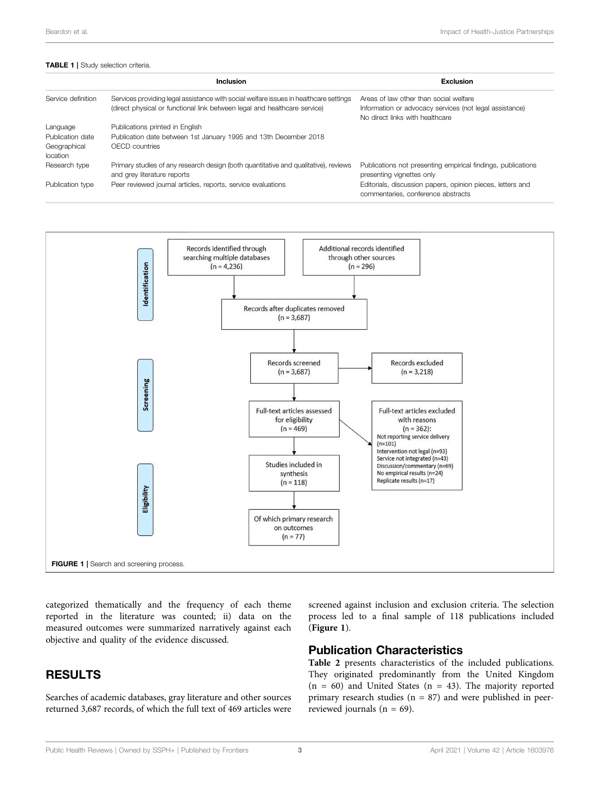#### <span id="page-2-0"></span>TABLE 1 | Study selection criteria.

|                          | Inclusion                                                                                                                                                          | Exclusion                                                                                                                            |
|--------------------------|--------------------------------------------------------------------------------------------------------------------------------------------------------------------|--------------------------------------------------------------------------------------------------------------------------------------|
| Service definition       | Services providing legal assistance with social welfare issues in healthcare settings<br>(direct physical or functional link between legal and healthcare service) | Areas of law other than social welfare<br>Information or advocacy services (not legal assistance)<br>No direct links with healthcare |
| Language                 | Publications printed in English                                                                                                                                    |                                                                                                                                      |
| Publication date         | Publication date between 1st January 1995 and 13th December 2018                                                                                                   |                                                                                                                                      |
| Geographical<br>location | OECD countries                                                                                                                                                     |                                                                                                                                      |
| Research type            | Primary studies of any research design (both quantitative and qualitative), reviews<br>and grey literature reports                                                 | Publications not presenting empirical findings, publications<br>presenting vignettes only                                            |
| Publication type         | Peer reviewed journal articles, reports, service evaluations                                                                                                       | Editorials, discussion papers, opinion pieces, letters and<br>commentaries, conference abstracts                                     |



<span id="page-2-1"></span>categorized thematically and the frequency of each theme reported in the literature was counted; ii) data on the measured outcomes were summarized narratively against each objective and quality of the evidence discussed.

### RESULTS

Searches of academic databases, gray literature and other sources returned 3,687 records, of which the full text of 469 articles were screened against inclusion and exclusion criteria. The selection process led to a final sample of 118 publications included ([Figure 1](#page-2-1)).

### Publication Characteristics

[Table 2](#page-3-0) presents characteristics of the included publications. They originated predominantly from the United Kingdom  $(n = 60)$  and United States  $(n = 43)$ . The majority reported primary research studies ( $n = 87$ ) and were published in peerreviewed journals ( $n = 69$ ).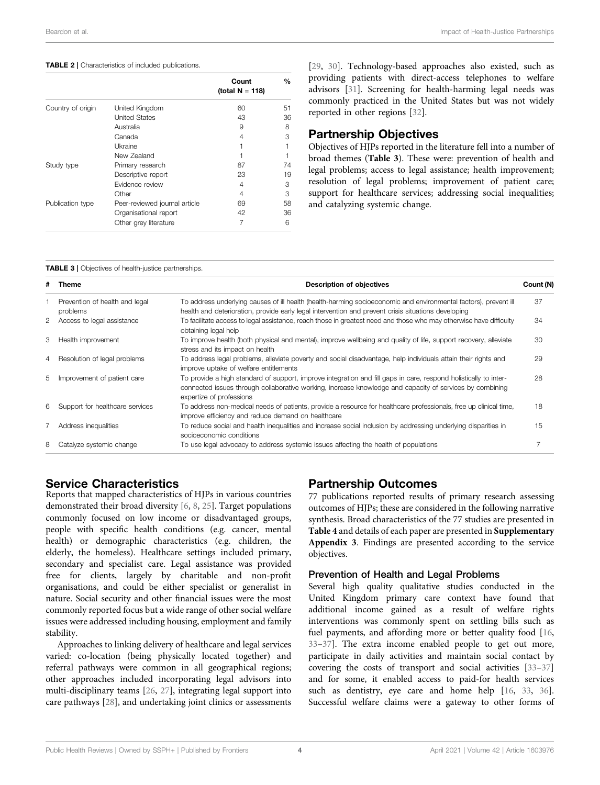#### <span id="page-3-0"></span>TABLE 2 | Characteristics of included publications.

|                   |                               | Count              | $\%$ |
|-------------------|-------------------------------|--------------------|------|
|                   |                               | (total $N = 118$ ) |      |
| Country of origin | United Kingdom                | 60                 | 51   |
|                   | <b>United States</b>          | 43                 | 36   |
|                   | Australia                     | 9                  | 8    |
|                   | Canada                        | 4                  | 3    |
|                   | <b>Ukraine</b>                |                    |      |
|                   | New Zealand                   |                    |      |
| Study type        | Primary research              | 87                 | 74   |
|                   | Descriptive report            | 23                 | 19   |
|                   | Evidence review               | 4                  | 3    |
|                   | Other                         | 4                  | 3    |
| Publication type  | Peer-reviewed journal article | 69                 | 58   |
|                   | Organisational report         | 42                 | 36   |
|                   | Other grey literature         | 7                  | 6    |

[\[29](#page-8-23), [30\]](#page-8-24). Technology-based approaches also existed, such as providing patients with direct-access telephones to welfare advisors [\[31\]](#page-8-25). Screening for health-harming legal needs was commonly practiced in the United States but was not widely reported in other regions [\[32](#page-8-26)].

### Partnership Objectives

Objectives of HJPs reported in the literature fell into a number of broad themes ([Table 3](#page-3-1)). These were: prevention of health and legal problems; access to legal assistance; health improvement; resolution of legal problems; improvement of patient care; support for healthcare services; addressing social inequalities; and catalyzing systemic change.

#### <span id="page-3-1"></span>TABLE 3 | Objectives of health-justice partnerships.

|   | # Theme                                    | Description of objectives                                                                                                                                                                                                                                | Count (N) |
|---|--------------------------------------------|----------------------------------------------------------------------------------------------------------------------------------------------------------------------------------------------------------------------------------------------------------|-----------|
|   | Prevention of health and legal<br>problems | To address underlying causes of ill health (health-harming socioeconomic and environmental factors), prevent ill<br>health and deterioration, provide early legal intervention and prevent crisis situations developing                                  | 37        |
|   | 2 Access to legal assistance               | To facilitate access to legal assistance, reach those in greatest need and those who may otherwise have difficulty<br>obtaining legal help                                                                                                               | 34        |
| 3 | Health improvement                         | To improve health (both physical and mental), improve wellbeing and quality of life, support recovery, alleviate<br>stress and its impact on health                                                                                                      | 30        |
|   | 4 Resolution of legal problems             | To address legal problems, alleviate poverty and social disadvantage, help individuals attain their rights and<br>improve uptake of welfare entitlements                                                                                                 | 29        |
|   | 5 Improvement of patient care              | To provide a high standard of support, improve integration and fill gaps in care, respond holistically to inter-<br>connected issues through collaborative working, increase knowledge and capacity of services by combining<br>expertize of professions | 28        |
|   | 6 Support for healthcare services          | To address non-medical needs of patients, provide a resource for healthcare professionals, free up clinical time,<br>improve efficiency and reduce demand on healthcare                                                                                  | 18        |
|   | Address inequalities                       | To reduce social and health inequalities and increase social inclusion by addressing underlying disparities in<br>socioeconomic conditions                                                                                                               | 15        |
| 8 | Catalyze systemic change                   | To use legal advocacy to address systemic issues affecting the health of populations                                                                                                                                                                     |           |

### Service Characteristics

Reports that mapped characteristics of HJPs in various countries demonstrated their broad diversity [\[6,](#page-8-18) [8](#page-8-1), [25\]](#page-8-19). Target populations commonly focused on low income or disadvantaged groups, people with specific health conditions (e.g. cancer, mental health) or demographic characteristics (e.g. children, the elderly, the homeless). Healthcare settings included primary, secondary and specialist care. Legal assistance was provided free for clients, largely by charitable and non-profit organisations, and could be either specialist or generalist in nature. Social security and other financial issues were the most commonly reported focus but a wide range of other social welfare issues were addressed including housing, employment and family stability.

Approaches to linking delivery of healthcare and legal services varied: co-location (being physically located together) and referral pathways were common in all geographical regions; other approaches included incorporating legal advisors into multi-disciplinary teams [[26,](#page-8-20) [27](#page-8-21)], integrating legal support into care pathways [[28\]](#page-8-22), and undertaking joint clinics or assessments

### Partnership Outcomes

77 publications reported results of primary research assessing outcomes of HJPs; these are considered in the following narrative synthesis. Broad characteristics of the 77 studies are presented in [Table 4](#page-4-0) and details of each paper are presented in [Supplementary](#page-7-5) [Appendix 3](#page-7-5). Findings are presented according to the service objectives.

### Prevention of Health and Legal Problems

Several high quality qualitative studies conducted in the United Kingdom primary care context have found that additional income gained as a result of welfare rights interventions was commonly spent on settling bills such as fuel payments, and affording more or better quality food [[16,](#page-8-9) [33](#page-8-27)–[37](#page-8-28)]. The extra income enabled people to get out more, participate in daily activities and maintain social contact by covering the costs of transport and social activities [[33](#page-8-27)–[37\]](#page-8-28) and for some, it enabled access to paid-for health services such as dentistry, eye care and home help [\[16,](#page-8-9) [33](#page-8-27), [36\]](#page-8-29). Successful welfare claims were a gateway to other forms of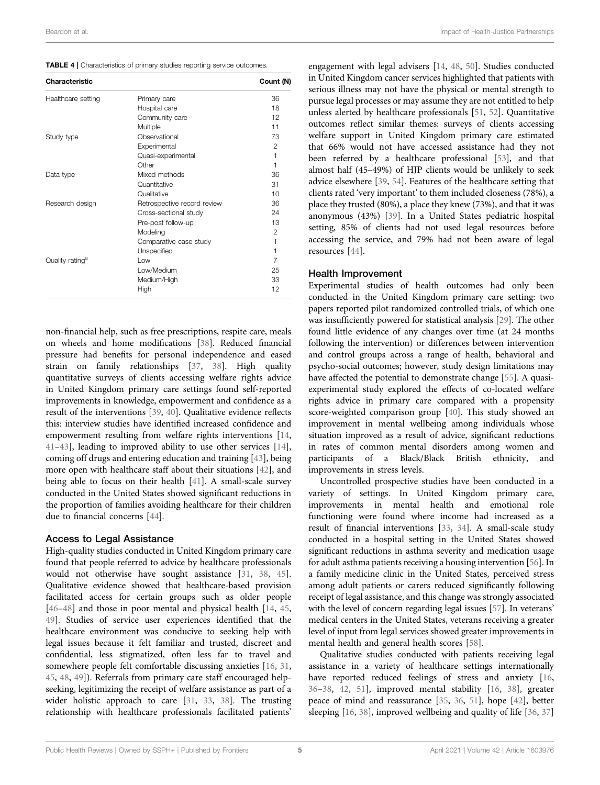<span id="page-4-0"></span>

|  | TABLE 4   Characteristics of primary studies reporting service outcomes. |  |  |  |  |  |
|--|--------------------------------------------------------------------------|--|--|--|--|--|
|--|--------------------------------------------------------------------------|--|--|--|--|--|

| Characteristic              |                             | Count (N)      |
|-----------------------------|-----------------------------|----------------|
| Healthcare setting          | Primary care                | 36             |
|                             | Hospital care               | 18             |
|                             | Community care              | 12             |
|                             | Multiple                    | 11             |
| Study type                  | Observational               | 73             |
|                             | Experimental                | 2              |
|                             | Quasi-experimental          | 1              |
|                             | Other                       | 1              |
| Data type                   | Mixed methods               | 36             |
|                             | Quantitative                | 31             |
|                             | Qualitative                 | 10             |
| Research design             | Retrospective record review | 36             |
|                             | Cross-sectional study       | 24             |
|                             | Pre-post follow-up          | 13             |
|                             | Modeling                    | $\mathfrak{p}$ |
|                             | Comparative case study      | 1              |
|                             | Unspecified                 | 1              |
| Quality rating <sup>a</sup> | Low                         | $\overline{7}$ |
|                             | Low/Medium                  | 25             |
|                             | Medium/High                 | 33             |
|                             | High                        | 12             |

non-financial help, such as free prescriptions, respite care, meals on wheels and home modifications [[38\]](#page-8-30). Reduced financial pressure had benefits for personal independence and eased strain on family relationships [\[37](#page-8-28), [38\]](#page-8-30). High quality quantitative surveys of clients accessing welfare rights advice in United Kingdom primary care settings found self-reported improvements in knowledge, empowerment and confidence as a result of the interventions [[39,](#page-8-31) [40](#page-8-32)]. Qualitative evidence reflects this: interview studies have identified increased confidence and empowerment resulting from welfare rights interventions [[14](#page-8-7), [41](#page-8-33)–[43](#page-8-34)], leading to improved ability to use other services [[14\]](#page-8-7), coming off drugs and entering education and training [\[43](#page-8-34)], being more open with healthcare staff about their situations [[42\]](#page-8-35), and being able to focus on their health [[41\]](#page-8-33). A small-scale survey conducted in the United States showed significant reductions in the proportion of families avoiding healthcare for their children due to financial concerns [[44\]](#page-8-36).

#### Access to Legal Assistance

High-quality studies conducted in United Kingdom primary care found that people referred to advice by healthcare professionals would not otherwise have sought assistance [[31,](#page-8-25) [38](#page-8-30), [45\]](#page-8-37). Qualitative evidence showed that healthcare-based provision facilitated access for certain groups such as older people [[46](#page-8-38)–[48\]](#page-8-39) and those in poor mental and physical health [\[14](#page-8-7), [45](#page-8-37), [49](#page-9-0)]. Studies of service user experiences identified that the healthcare environment was conducive to seeking help with legal issues because it felt familiar and trusted, discreet and confidential, less stigmatized, often less far to travel and somewhere people felt comfortable discussing anxieties [[16,](#page-8-9) [31](#page-8-25), [45](#page-8-37), [48,](#page-8-39) [49\]](#page-9-0)). Referrals from primary care staff encouraged helpseeking, legitimizing the receipt of welfare assistance as part of a wider holistic approach to care [[31,](#page-8-25) [33,](#page-8-27) [38\]](#page-8-30). The trusting relationship with healthcare professionals facilitated patients'

engagement with legal advisers [[14,](#page-8-7) [48,](#page-8-39) [50](#page-9-1)]. Studies conducted in United Kingdom cancer services highlighted that patients with serious illness may not have the physical or mental strength to pursue legal processes or may assume they are not entitled to help unless alerted by healthcare professionals [[51](#page-9-2), [52](#page-9-3)]. Quantitative outcomes reflect similar themes: surveys of clients accessing welfare support in United Kingdom primary care estimated that 66% would not have accessed assistance had they not been referred by a healthcare professional [[53\]](#page-9-4), and that almost half (45–49%) of HJP clients would be unlikely to seek advice elsewhere [\[39](#page-8-31), [54](#page-9-5)]. Features of the healthcare setting that clients rated 'very important' to them included closeness (78%), a place they trusted (80%), a place they knew (73%), and that it was anonymous (43%) [\[39](#page-8-31)]. In a United States pediatric hospital setting, 85% of clients had not used legal resources before accessing the service, and 79% had not been aware of legal resources [[44\]](#page-8-36).

#### Health Improvement

Experimental studies of health outcomes had only been conducted in the United Kingdom primary care setting: two papers reported pilot randomized controlled trials, of which one was insufficiently powered for statistical analysis [[29\]](#page-8-23). The other found little evidence of any changes over time (at 24 months following the intervention) or differences between intervention and control groups across a range of health, behavioral and psycho-social outcomes; however, study design limitations may have affected the potential to demonstrate change [[55\]](#page-9-6). A quasiexperimental study explored the effects of co-located welfare rights advice in primary care compared with a propensity score-weighted comparison group [[40\]](#page-8-32). This study showed an improvement in mental wellbeing among individuals whose situation improved as a result of advice, significant reductions in rates of common mental disorders among women and participants of a Black/Black British ethnicity, and improvements in stress levels.

Uncontrolled prospective studies have been conducted in a variety of settings. In United Kingdom primary care, improvements in mental health and emotional role functioning were found where income had increased as a result of financial interventions [\[33](#page-8-27), [34\]](#page-8-40). A small-scale study conducted in a hospital setting in the United States showed significant reductions in asthma severity and medication usage for adult asthma patients receiving a housing intervention [\[56\]](#page-9-7). In a family medicine clinic in the United States, perceived stress among adult patients or carers reduced significantly following receipt of legal assistance, and this change was strongly associated with the level of concern regarding legal issues [[57\]](#page-9-8). In veterans' medical centers in the United States, veterans receiving a greater level of input from legal services showed greater improvements in mental health and general health scores [[58\]](#page-9-9).

Qualitative studies conducted with patients receiving legal assistance in a variety of healthcare settings internationally have reported reduced feelings of stress and anxiety [[16,](#page-8-9) [36](#page-8-29)–[38](#page-8-30), [42,](#page-8-35) [51\]](#page-9-2), improved mental stability [[16,](#page-8-9) [38\]](#page-8-30), greater peace of mind and reassurance [[35,](#page-8-41) [36,](#page-8-29) [51\]](#page-9-2), hope [[42\]](#page-8-35), better sleeping [[16,](#page-8-9) [38](#page-8-30)], improved wellbeing and quality of life [[36,](#page-8-29) [37\]](#page-8-28)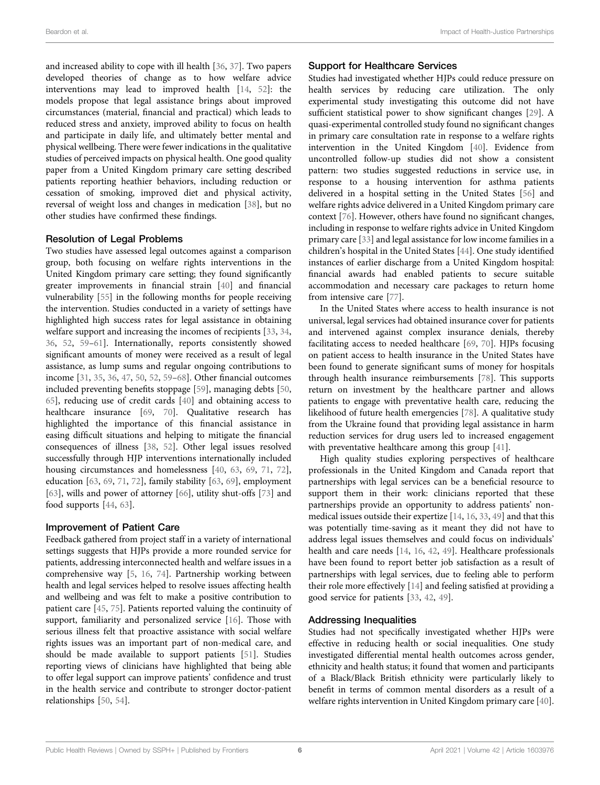and increased ability to cope with ill health [\[36](#page-8-29), [37\]](#page-8-28). Two papers developed theories of change as to how welfare advice interventions may lead to improved health [\[14](#page-8-7), [52](#page-9-3)]: the models propose that legal assistance brings about improved circumstances (material, financial and practical) which leads to reduced stress and anxiety, improved ability to focus on health and participate in daily life, and ultimately better mental and physical wellbeing. There were fewer indications in the qualitative studies of perceived impacts on physical health. One good quality paper from a United Kingdom primary care setting described patients reporting heathier behaviors, including reduction or cessation of smoking, improved diet and physical activity, reversal of weight loss and changes in medication [[38\]](#page-8-30), but no other studies have confirmed these findings.

#### Resolution of Legal Problems

Two studies have assessed legal outcomes against a comparison group, both focusing on welfare rights interventions in the United Kingdom primary care setting; they found significantly greater improvements in financial strain [[40](#page-8-32)] and financial vulnerability [[55\]](#page-9-6) in the following months for people receiving the intervention. Studies conducted in a variety of settings have highlighted high success rates for legal assistance in obtaining welfare support and increasing the incomes of recipients [\[33](#page-8-27), [34](#page-8-40), [36](#page-8-29), [52](#page-9-3), [59](#page-9-10)–[61](#page-9-11)]. Internationally, reports consistently showed significant amounts of money were received as a result of legal assistance, as lump sums and regular ongoing contributions to income [\[31](#page-8-25), [35](#page-8-41), [36,](#page-8-29) [47,](#page-8-42) [50](#page-9-1), [52](#page-9-3), [59](#page-9-10)–[68\]](#page-9-12). Other financial outcomes included preventing benefits stoppage [[59](#page-9-10)], managing debts [[50](#page-9-1), [65](#page-9-13)], reducing use of credit cards [[40\]](#page-8-32) and obtaining access to healthcare insurance [\[69](#page-9-14), [70](#page-9-15)]. Qualitative research has highlighted the importance of this financial assistance in easing difficult situations and helping to mitigate the financial consequences of illness [[38,](#page-8-30) [52](#page-9-3)]. Other legal issues resolved successfully through HJP interventions internationally included housing circumstances and homelessness [\[40,](#page-8-32) [63,](#page-9-16) [69](#page-9-14), [71](#page-9-17), [72\]](#page-9-18), education [[63,](#page-9-16) [69,](#page-9-14) [71,](#page-9-17) [72\]](#page-9-18), family stability [\[63](#page-9-16), [69](#page-9-14)], employment [[63\]](#page-9-16), wills and power of attorney [[66\]](#page-9-19), utility shut-offs [[73\]](#page-9-20) and food supports [[44,](#page-8-36) [63](#page-9-16)].

#### Improvement of Patient Care

Feedback gathered from project staff in a variety of international settings suggests that HJPs provide a more rounded service for patients, addressing interconnected health and welfare issues in a comprehensive way [\[5,](#page-7-4) [16](#page-8-9), [74\]](#page-9-21). Partnership working between health and legal services helped to resolve issues affecting health and wellbeing and was felt to make a positive contribution to patient care [[45,](#page-8-37) [75\]](#page-9-22). Patients reported valuing the continuity of support, familiarity and personalized service [[16\]](#page-8-9). Those with serious illness felt that proactive assistance with social welfare rights issues was an important part of non-medical care, and should be made available to support patients [\[51](#page-9-2)]. Studies reporting views of clinicians have highlighted that being able to offer legal support can improve patients' confidence and trust in the health service and contribute to stronger doctor-patient relationships [\[50](#page-9-1), [54](#page-9-5)].

#### Support for Healthcare Services

Studies had investigated whether HJPs could reduce pressure on health services by reducing care utilization. The only experimental study investigating this outcome did not have sufficient statistical power to show significant changes [\[29](#page-8-23)]. A quasi-experimental controlled study found no significant changes in primary care consultation rate in response to a welfare rights intervention in the United Kingdom [[40\]](#page-8-32). Evidence from uncontrolled follow-up studies did not show a consistent pattern: two studies suggested reductions in service use, in response to a housing intervention for asthma patients delivered in a hospital setting in the United States [[56\]](#page-9-7) and welfare rights advice delivered in a United Kingdom primary care context [[76\]](#page-9-23). However, others have found no significant changes, including in response to welfare rights advice in United Kingdom primary care [\[33](#page-8-27)] and legal assistance for low income families in a children's hospital in the United States [[44\]](#page-8-36). One study identified instances of earlier discharge from a United Kingdom hospital: financial awards had enabled patients to secure suitable accommodation and necessary care packages to return home from intensive care [[77\]](#page-9-24).

In the United States where access to health insurance is not universal, legal services had obtained insurance cover for patients and intervened against complex insurance denials, thereby facilitating access to needed healthcare [\[69](#page-9-14), [70\]](#page-9-15). HJPs focusing on patient access to health insurance in the United States have been found to generate significant sums of money for hospitals through health insurance reimbursements [[78\]](#page-9-25). This supports return on investment by the healthcare partner and allows patients to engage with preventative health care, reducing the likelihood of future health emergencies [[78\]](#page-9-25). A qualitative study from the Ukraine found that providing legal assistance in harm reduction services for drug users led to increased engagement with preventative healthcare among this group [\[41](#page-8-33)].

High quality studies exploring perspectives of healthcare professionals in the United Kingdom and Canada report that partnerships with legal services can be a beneficial resource to support them in their work: clinicians reported that these partnerships provide an opportunity to address patients' nonmedical issues outside their expertize [\[14](#page-8-7), [16,](#page-8-9) [33,](#page-8-27) [49\]](#page-9-0) and that this was potentially time-saving as it meant they did not have to address legal issues themselves and could focus on individuals' health and care needs [\[14](#page-8-7), [16,](#page-8-9) [42](#page-8-35), [49](#page-9-0)]. Healthcare professionals have been found to report better job satisfaction as a result of partnerships with legal services, due to feeling able to perform their role more effectively [[14\]](#page-8-7) and feeling satisfied at providing a good service for patients [[33](#page-8-27), [42](#page-8-35), [49\]](#page-9-0).

#### Addressing Inequalities

Studies had not specifically investigated whether HJPs were effective in reducing health or social inequalities. One study investigated differential mental health outcomes across gender, ethnicity and health status; it found that women and participants of a Black/Black British ethnicity were particularly likely to benefit in terms of common mental disorders as a result of a welfare rights intervention in United Kingdom primary care [[40\]](#page-8-32).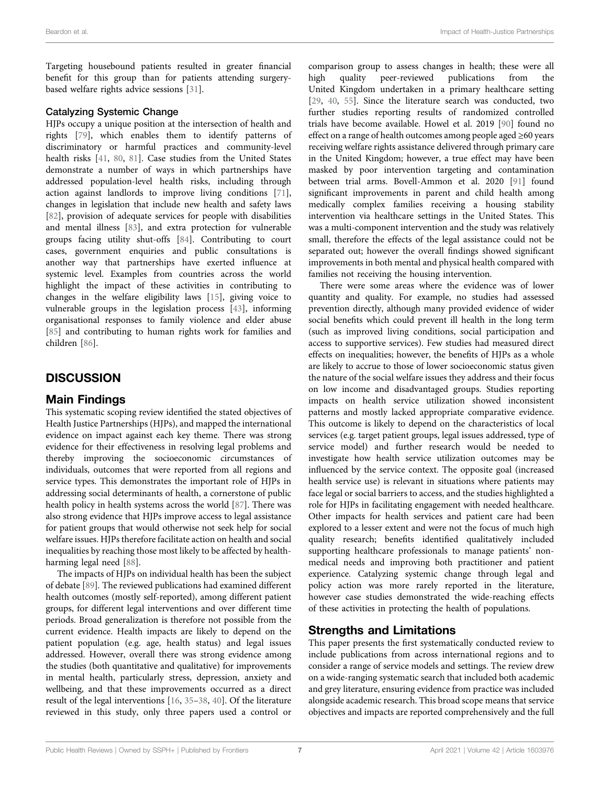Targeting housebound patients resulted in greater financial benefit for this group than for patients attending surgerybased welfare rights advice sessions [[31](#page-8-25)].

#### Catalyzing Systemic Change

HJPs occupy a unique position at the intersection of health and rights [[79\]](#page-9-26), which enables them to identify patterns of discriminatory or harmful practices and community-level health risks [[41,](#page-8-33) [80,](#page-9-27) [81](#page-9-28)]. Case studies from the United States demonstrate a number of ways in which partnerships have addressed population-level health risks, including through action against landlords to improve living conditions [[71\]](#page-9-17), changes in legislation that include new health and safety laws [[82\]](#page-9-29), provision of adequate services for people with disabilities and mental illness [\[83](#page-9-30)], and extra protection for vulnerable groups facing utility shut-offs [[84\]](#page-9-31). Contributing to court cases, government enquiries and public consultations is another way that partnerships have exerted influence at systemic level. Examples from countries across the world highlight the impact of these activities in contributing to changes in the welfare eligibility laws [[15\]](#page-8-8), giving voice to vulnerable groups in the legislation process [\[43](#page-8-34)], informing organisational responses to family violence and elder abuse [[85\]](#page-9-32) and contributing to human rights work for families and children [\[86](#page-9-33)].

### **DISCUSSION**

### Main Findings

This systematic scoping review identified the stated objectives of Health Justice Partnerships (HJPs), and mapped the international evidence on impact against each key theme. There was strong evidence for their effectiveness in resolving legal problems and thereby improving the socioeconomic circumstances of individuals, outcomes that were reported from all regions and service types. This demonstrates the important role of HJPs in addressing social determinants of health, a cornerstone of public health policy in health systems across the world [\[87](#page-9-34)]. There was also strong evidence that HJPs improve access to legal assistance for patient groups that would otherwise not seek help for social welfare issues. HJPs therefore facilitate action on health and social inequalities by reaching those most likely to be affected by healthharming legal need [\[88](#page-9-35)].

The impacts of HJPs on individual health has been the subject of debate [[89\]](#page-9-36). The reviewed publications had examined different health outcomes (mostly self-reported), among different patient groups, for different legal interventions and over different time periods. Broad generalization is therefore not possible from the current evidence. Health impacts are likely to depend on the patient population (e.g. age, health status) and legal issues addressed. However, overall there was strong evidence among the studies (both quantitative and qualitative) for improvements in mental health, particularly stress, depression, anxiety and wellbeing, and that these improvements occurred as a direct result of the legal interventions [\[16](#page-8-9), [35](#page-8-41)–[38](#page-8-30), [40\]](#page-8-32). Of the literature reviewed in this study, only three papers used a control or

comparison group to assess changes in health; these were all high quality peer-reviewed publications from the United Kingdom undertaken in a primary healthcare setting [\[29](#page-8-23), [40,](#page-8-32) [55\]](#page-9-6). Since the literature search was conducted, two further studies reporting results of randomized controlled trials have become available. Howel et al. 2019 [[90\]](#page-9-37) found no effect on a range of health outcomes among people aged  $\geq 60$  years receiving welfare rights assistance delivered through primary care in the United Kingdom; however, a true effect may have been masked by poor intervention targeting and contamination between trial arms. Bovell-Ammon et al. 2020 [\[91](#page-10-0)] found significant improvements in parent and child health among medically complex families receiving a housing stability intervention via healthcare settings in the United States. This was a multi-component intervention and the study was relatively small, therefore the effects of the legal assistance could not be separated out; however the overall findings showed significant improvements in both mental and physical health compared with families not receiving the housing intervention.

There were some areas where the evidence was of lower quantity and quality. For example, no studies had assessed prevention directly, although many provided evidence of wider social benefits which could prevent ill health in the long term (such as improved living conditions, social participation and access to supportive services). Few studies had measured direct effects on inequalities; however, the benefits of HJPs as a whole are likely to accrue to those of lower socioeconomic status given the nature of the social welfare issues they address and their focus on low income and disadvantaged groups. Studies reporting impacts on health service utilization showed inconsistent patterns and mostly lacked appropriate comparative evidence. This outcome is likely to depend on the characteristics of local services (e.g. target patient groups, legal issues addressed, type of service model) and further research would be needed to investigate how health service utilization outcomes may be influenced by the service context. The opposite goal (increased health service use) is relevant in situations where patients may face legal or social barriers to access, and the studies highlighted a role for HJPs in facilitating engagement with needed healthcare. Other impacts for health services and patient care had been explored to a lesser extent and were not the focus of much high quality research; benefits identified qualitatively included supporting healthcare professionals to manage patients' nonmedical needs and improving both practitioner and patient experience. Catalyzing systemic change through legal and policy action was more rarely reported in the literature, however case studies demonstrated the wide-reaching effects of these activities in protecting the health of populations.

### Strengths and Limitations

This paper presents the first systematically conducted review to include publications from across international regions and to consider a range of service models and settings. The review drew on a wide-ranging systematic search that included both academic and grey literature, ensuring evidence from practice was included alongside academic research. This broad scope means that service objectives and impacts are reported comprehensively and the full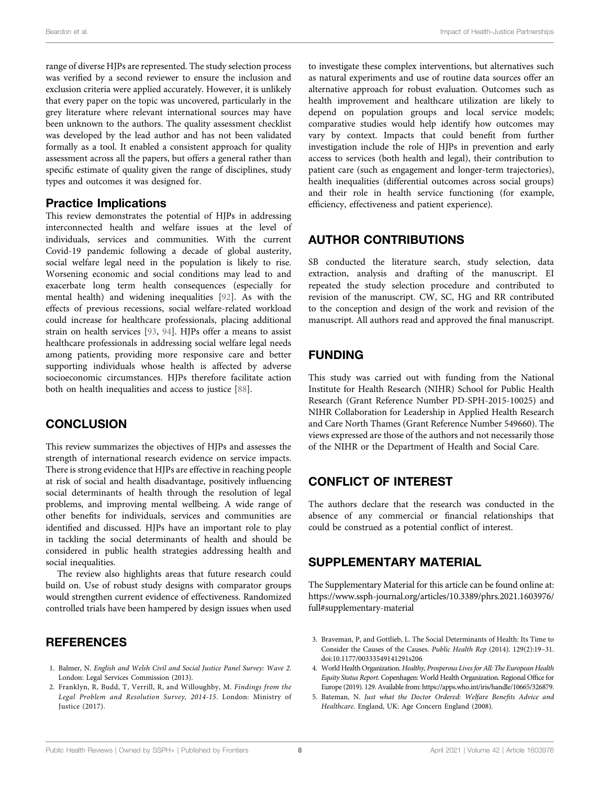range of diverse HJPs are represented. The study selection process was verified by a second reviewer to ensure the inclusion and exclusion criteria were applied accurately. However, it is unlikely that every paper on the topic was uncovered, particularly in the grey literature where relevant international sources may have been unknown to the authors. The quality assessment checklist was developed by the lead author and has not been validated formally as a tool. It enabled a consistent approach for quality assessment across all the papers, but offers a general rather than specific estimate of quality given the range of disciplines, study types and outcomes it was designed for.

### Practice Implications

This review demonstrates the potential of HJPs in addressing interconnected health and welfare issues at the level of individuals, services and communities. With the current Covid-19 pandemic following a decade of global austerity, social welfare legal need in the population is likely to rise. Worsening economic and social conditions may lead to and exacerbate long term health consequences (especially for mental health) and widening inequalities [\[92](#page-10-1)]. As with the effects of previous recessions, social welfare-related workload could increase for healthcare professionals, placing additional strain on health services [\[93](#page-10-2), [94](#page-10-3)]. HJPs offer a means to assist healthcare professionals in addressing social welfare legal needs among patients, providing more responsive care and better supporting individuals whose health is affected by adverse socioeconomic circumstances. HJPs therefore facilitate action both on health inequalities and access to justice [[88](#page-9-35)].

### **CONCLUSION**

This review summarizes the objectives of HJPs and assesses the strength of international research evidence on service impacts. There is strong evidence that HJPs are effective in reaching people at risk of social and health disadvantage, positively influencing social determinants of health through the resolution of legal problems, and improving mental wellbeing. A wide range of other benefits for individuals, services and communities are identified and discussed. HJPs have an important role to play in tackling the social determinants of health and should be considered in public health strategies addressing health and social inequalities.

The review also highlights areas that future research could build on. Use of robust study designs with comparator groups would strengthen current evidence of effectiveness. Randomized controlled trials have been hampered by design issues when used

### REFERENCES

- <span id="page-7-0"></span>1. Balmer, N. English and Welsh Civil and Social Justice Panel Survey: Wave 2. London: Legal Services Commission (2013).
- <span id="page-7-1"></span>2. Franklyn, R, Budd, T, Verrill, R, and Willoughby, M. Findings from the Legal Problem and Resolution Survey, 2014-15. London: Ministry of Justice (2017).

to investigate these complex interventions, but alternatives such as natural experiments and use of routine data sources offer an alternative approach for robust evaluation. Outcomes such as health improvement and healthcare utilization are likely to depend on population groups and local service models; comparative studies would help identify how outcomes may vary by context. Impacts that could benefit from further investigation include the role of HJPs in prevention and early access to services (both health and legal), their contribution to patient care (such as engagement and longer-term trajectories), health inequalities (differential outcomes across social groups) and their role in health service functioning (for example, efficiency, effectiveness and patient experience).

### AUTHOR CONTRIBUTIONS

SB conducted the literature search, study selection, data extraction, analysis and drafting of the manuscript. EI repeated the study selection procedure and contributed to revision of the manuscript. CW, SC, HG and RR contributed to the conception and design of the work and revision of the manuscript. All authors read and approved the final manuscript.

### FUNDING

This study was carried out with funding from the National Institute for Health Research (NIHR) School for Public Health Research (Grant Reference Number PD-SPH-2015-10025) and NIHR Collaboration for Leadership in Applied Health Research and Care North Thames (Grant Reference Number 549660). The views expressed are those of the authors and not necessarily those of the NIHR or the Department of Health and Social Care.

### CONFLICT OF INTEREST

The authors declare that the research was conducted in the absence of any commercial or financial relationships that could be construed as a potential conflict of interest.

### <span id="page-7-5"></span>SUPPLEMENTARY MATERIAL

The Supplementary Material for this article can be found online at: [https://www.ssph-journal.org/articles/10.3389/phrs.2021.1603976/](https://www.ssph-journal.org/articles/10.3389/phrs.2021.1603976/full#supplementary-material) [full#supplementary-material](https://www.ssph-journal.org/articles/10.3389/phrs.2021.1603976/full#supplementary-material)

- <span id="page-7-2"></span>3. Braveman, P, and Gottlieb, L. The Social Determinants of Health: Its Time to Consider the Causes of the Causes. Public Health Rep (2014). 129(2):19–31. doi[:10.1177/00333549141291s206](https://doi.org/10.1177/00333549141291s206)
- <span id="page-7-3"></span>4. World Health Organization. Healthy, Prosperous Lives for All: The European Health Equity Status Report. Copenhagen: World Health Organization. Regional Office for Europe (2019). 129. Available from:<https://apps.who.int/iris/handle/10665/326879>.
- <span id="page-7-4"></span>5. Bateman, N. Just what the Doctor Ordered: Welfare Benefits Advice and Healthcare. England, UK: Age Concern England (2008).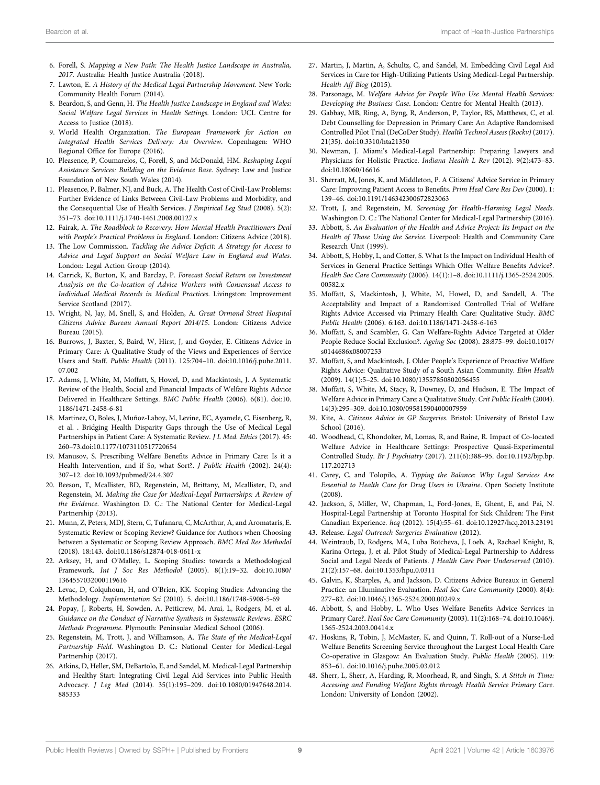- <span id="page-8-18"></span>6. Forell, S. Mapping a New Path: The Health Justice Landscape in Australia, 2017. Australia: Health Justice Australia (2018).
- <span id="page-8-0"></span>7. Lawton, E. A History of the Medical Legal Partnership Movement. New York: Community Health Forum (2014).
- <span id="page-8-1"></span>8. Beardon, S, and Genn, H. The Health Justice Landscape in England and Wales: Social Welfare Legal Services in Health Settings. London: UCL Centre for Access to Justice (2018).
- <span id="page-8-2"></span>9. World Health Organization. The European Framework for Action on Integrated Health Services Delivery: An Overview. Copenhagen: WHO Regional Office for Europe (2016).
- <span id="page-8-3"></span>10. Pleasence, P, Coumarelos, C, Forell, S, and McDonald, HM. Reshaping Legal Assistance Services: Building on the Evidence Base. Sydney: Law and Justice Foundation of New South Wales (2014).
- <span id="page-8-4"></span>11. Pleasence, P, Balmer, NJ, and Buck, A. The Health Cost of Civil-Law Problems: Further Evidence of Links Between Civil-Law Problems and Morbidity, and the Consequential Use of Health Services. J Empirical Leg Stud (2008). 5(2): 351–73. doi:[10.1111/j.1740-1461.2008.00127.x](https://doi.org/10.1111/j.1740-1461.2008.00127.x)
- <span id="page-8-5"></span>12. Fairak, A. The Roadblock to Recovery: How Mental Health Practitioners Deal with People's Practical Problems in England. London: Citizens Advice (2018).
- <span id="page-8-6"></span>13. The Low Commission. Tackling the Advice Deficit: A Strategy for Access to Advice and Legal Support on Social Welfare Law in England and Wales. London: Legal Action Group (2014).
- <span id="page-8-7"></span>14. Carrick, K, Burton, K, and Barclay, P. Forecast Social Return on Investment Analysis on the Co-location of Advice Workers with Consensual Access to Individual Medical Records in Medical Practices. Livingston: Improvement Service Scotland (2017).
- <span id="page-8-8"></span>15. Wright, N, Jay, M, Snell, S, and Holden, A. Great Ormond Street Hospital Citizens Advice Bureau Annual Report 2014/15. London: Citizens Advice Bureau (2015).
- <span id="page-8-9"></span>16. Burrows, J, Baxter, S, Baird, W, Hirst, J, and Goyder, E. Citizens Advice in Primary Care: A Qualitative Study of the Views and Experiences of Service Users and Staff. Public Health (2011). 125:704–10. doi:[10.1016/j.puhe.2011.](https://doi.org/10.1016/j.puhe.2011.07.002) [07.002](https://doi.org/10.1016/j.puhe.2011.07.002)
- <span id="page-8-10"></span>17. Adams, J, White, M, Moffatt, S, Howel, D, and Mackintosh, J. A Systematic Review of the Health, Social and Financial Impacts of Welfare Rights Advice Delivered in Healthcare Settings. BMC Public Health (2006). 6(81). doi[:10.](https://doi.org/10.1186/1471-2458-6-81) [1186/1471-2458-6-81](https://doi.org/10.1186/1471-2458-6-81)
- <span id="page-8-11"></span>18. Martinez, O, Boles, J, Muñoz-Laboy, M, Levine, EC, Ayamele, C, Eisenberg, R, et al. . Bridging Health Disparity Gaps through the Use of Medical Legal Partnerships in Patient Care: A Systematic Review. J L Med. Ethics (2017). 45: 260–73.doi[:10.1177/1073110517720654](https://doi.org/10.1177/1073110517720654)
- <span id="page-8-12"></span>19. Manusov, S. Prescribing Welfare Benefits Advice in Primary Care: Is it a Health Intervention, and if So, what Sort?. J Public Health (2002). 24(4): 307–12. doi:[10.1093/pubmed/24.4.307](https://doi.org/10.1093/pubmed/24.4.307)
- <span id="page-8-13"></span>20. Beeson, T, Mcallister, BD, Regenstein, M, Brittany, M, Mcallister, D, and Regenstein, M. Making the Case for Medical-Legal Partnerships: A Review of the Evidence. Washington D. C.: The National Center for Medical-Legal Partnership (2013).
- <span id="page-8-14"></span>21. Munn, Z, Peters, MDJ, Stern, C, Tufanaru, C, McArthur, A, and Aromataris, E. Systematic Review or Scoping Review? Guidance for Authors when Choosing between a Systematic or Scoping Review Approach. BMC Med Res Methodol (2018). 18:143. doi[:10.1186/s12874-018-0611-x](https://doi.org/10.1186/s12874-018-0611-x)
- <span id="page-8-15"></span>22. Arksey, H, and O'Malley, L. Scoping Studies: towards a Methodological Framework. Int J Soc Res Methodol (2005). 8(1):19–32. doi:[10.1080/](https://doi.org/10.1080/1364557032000119616) [1364557032000119616](https://doi.org/10.1080/1364557032000119616)
- <span id="page-8-16"></span>23. Levac, D, Colquhoun, H, and O'Brien, KK. Scoping Studies: Advancing the Methodology. Implementation Sci (2010). 5. doi:[10.1186/1748-5908-5-69](https://doi.org/10.1186/1748-5908-5-69)
- <span id="page-8-17"></span>24. Popay, J, Roberts, H, Sowden, A, Petticrew, M, Arai, L, Rodgers, M, et al. Guidance on the Conduct of Narrative Synthesis in Systematic Reviews. ESRC Methods Programme. Plymouth: Peninsular Medical School (2006).
- <span id="page-8-19"></span>25. Regenstein, M, Trott, J, and Williamson, A. The State of the Medical-Legal Partnership Field. Washington D. C.: National Center for Medical-Legal Partnership (2017).
- <span id="page-8-20"></span>26. Atkins, D, Heller, SM, DeBartolo, E, and Sandel, M. Medical-Legal Partnership and Healthy Start: Integrating Civil Legal Aid Services into Public Health Advocacy. J Leg Med (2014). 35(1):195–209. doi[:10.1080/01947648.2014.](https://doi.org/10.1080/01947648.2014.885333) [885333](https://doi.org/10.1080/01947648.2014.885333)
- <span id="page-8-21"></span>27. Martin, J, Martin, A, Schultz, C, and Sandel, M. Embedding Civil Legal Aid Services in Care for High-Utilizing Patients Using Medical-Legal Partnership. Health Aff Blog (2015).
- <span id="page-8-22"></span>28. Parsonage, M. Welfare Advice for People Who Use Mental Health Services: Developing the Business Case. London: Centre for Mental Health (2013).
- <span id="page-8-23"></span>29. Gabbay, MB, Ring, A, Byng, R, Anderson, P, Taylor, RS, Matthews, C, et al. Debt Counselling for Depression in Primary Care: An Adaptive Randomised Controlled Pilot Trial (DeCoDer Study). Health Technol Assess (Rockv) (2017). 21(35). doi[:10.3310/hta21350](https://doi.org/10.3310/hta21350)
- <span id="page-8-24"></span>30. Newman, J. Miami's Medical-Legal Partnership: Preparing Lawyers and Physicians for Holistic Practice. Indiana Health L Rev (2012). 9(2):473–83. doi:[10.18060/16616](https://doi.org/10.18060/16616)
- <span id="page-8-25"></span>31. Sherratt, M, Jones, K, and Middleton, P. A Citizens' Advice Service in Primary Care: Improving Patient Access to Benefits. Prim Heal Care Res Dev (2000). 1: 139–46. doi:[10.1191/146342300672823063](https://doi.org/10.1191/146342300672823063)
- <span id="page-8-26"></span>32. Trott, J, and Regenstein, M. Screening for Health-Harming Legal Needs. Washington D. C.: The National Center for Medical-Legal Partnership (2016).
- <span id="page-8-27"></span>33. Abbott, S. An Evaluation of the Health and Advice Project: Its Impact on the Health of Those Using the Service. Liverpool: Health and Community Care Research Unit (1999).
- <span id="page-8-40"></span>34. Abbott, S, Hobby, L, and Cotter, S. What Is the Impact on Individual Health of Services in General Practice Settings Which Offer Welfare Benefits Advice?. Health Soc Care Community (2006). 14(1):1–8. doi:[10.1111/j.1365-2524.2005.](https://doi.org/10.1111/j.1365-2524.2005.00582.x) [00582.x](https://doi.org/10.1111/j.1365-2524.2005.00582.x)
- <span id="page-8-41"></span>35. Moffatt, S, Mackintosh, J, White, M, Howel, D, and Sandell, A. The Acceptability and Impact of a Randomised Controlled Trial of Welfare Rights Advice Accessed via Primary Health Care: Qualitative Study. BMC Public Health (2006). 6:163. doi:[10.1186/1471-2458-6-163](https://doi.org/10.1186/1471-2458-6-163)
- <span id="page-8-29"></span>36. Moffatt, S, and Scambler, G. Can Welfare-Rights Advice Targeted at Older People Reduce Social Exclusion?. Ageing Soc (2008). 28:875–99. doi[:10.1017/](https://doi.org/10.1017/s0144686x08007253) [s0144686x08007253](https://doi.org/10.1017/s0144686x08007253)
- <span id="page-8-28"></span>37. Moffatt, S, and Mackintosh, J. Older People's Experience of Proactive Welfare Rights Advice: Qualitative Study of a South Asian Community. Ethn Health (2009). 14(1):5–25. doi:[10.1080/13557850802056455](https://doi.org/10.1080/13557850802056455)
- <span id="page-8-30"></span>38. Moffatt, S, White, M, Stacy, R, Downey, D, and Hudson, E. The Impact of Welfare Advice in Primary Care: a Qualitative Study. Crit Public Health (2004). 14(3):295–309. doi:[10.1080/09581590400007959](https://doi.org/10.1080/09581590400007959)
- <span id="page-8-31"></span>39. Kite, A. Citizens Advice in GP Surgeries. Bristol: University of Bristol Law School (2016).
- <span id="page-8-32"></span>40. Woodhead, C, Khondoker, M, Lomas, R, and Raine, R. Impact of Co-located Welfare Advice in Healthcare Settings: Prospective Quasi-Experimental Controlled Study. Br J Psychiatry (2017). 211(6):388–95. doi:[10.1192/bjp.bp.](https://doi.org/10.1192/bjp.bp.117.202713) [117.202713](https://doi.org/10.1192/bjp.bp.117.202713)
- <span id="page-8-33"></span>41. Carey, C, and Tolopilo, A. Tipping the Balance: Why Legal Services Are Essential to Health Care for Drug Users in Ukraine. Open Society Institute (2008).
- <span id="page-8-35"></span>42. Jackson, S, Miller, W, Chapman, L, Ford-Jones, E, Ghent, E, and Pai, N. Hospital-Legal Partnership at Toronto Hospital for Sick Children: The First Canadian Experience. hcq (2012). 15(4):55–61. doi[:10.12927/hcq.2013.23191](https://doi.org/10.12927/hcq.2013.23191)
- <span id="page-8-34"></span>43. Release. Legal Outreach Surgeries Evaluation (2012).
- <span id="page-8-36"></span>44. Weintraub, D, Rodgers, MA, Luba Botcheva, J, Loeb, A, Rachael Knight, B, Karina Ortega, J, et al. Pilot Study of Medical-Legal Partnership to Address Social and Legal Needs of Patients. J Health Care Poor Underserved (2010). 21(2):157–68. doi[:10.1353/hpu.0.0311](https://doi.org/10.1353/hpu.0.0311)
- <span id="page-8-37"></span>45. Galvin, K, Sharples, A, and Jackson, D. Citizens Advice Bureaux in General Practice: an Illuminative Evaluation. Heal Soc Care Community (2000). 8(4): 277–82. doi:[10.1046/j.1365-2524.2000.00249.x](https://doi.org/10.1046/j.1365-2524.2000.00249.x)
- <span id="page-8-38"></span>46. Abbott, S, and Hobby, L. Who Uses Welfare Benefits Advice Services in Primary Care?. Heal Soc Care Community (2003). 11(2):168–74. doi:[10.1046/j.](https://doi.org/10.1046/j.1365-2524.2003.00414.x) [1365-2524.2003.00414.x](https://doi.org/10.1046/j.1365-2524.2003.00414.x)
- <span id="page-8-42"></span>47. Hoskins, R, Tobin, J, McMaster, K, and Quinn, T. Roll-out of a Nurse-Led Welfare Benefits Screening Service throughout the Largest Local Health Care Co-operative in Glasgow: An Evaluation Study. Public Health (2005). 119: 853–61. doi:[10.1016/j.puhe.2005.03.012](https://doi.org/10.1016/j.puhe.2005.03.012)
- <span id="page-8-39"></span>48. Sherr, L, Sherr, A, Harding, R, Moorhead, R, and Singh, S. A Stitch in Time: Accessing and Funding Welfare Rights through Health Service Primary Care. London: University of London (2002).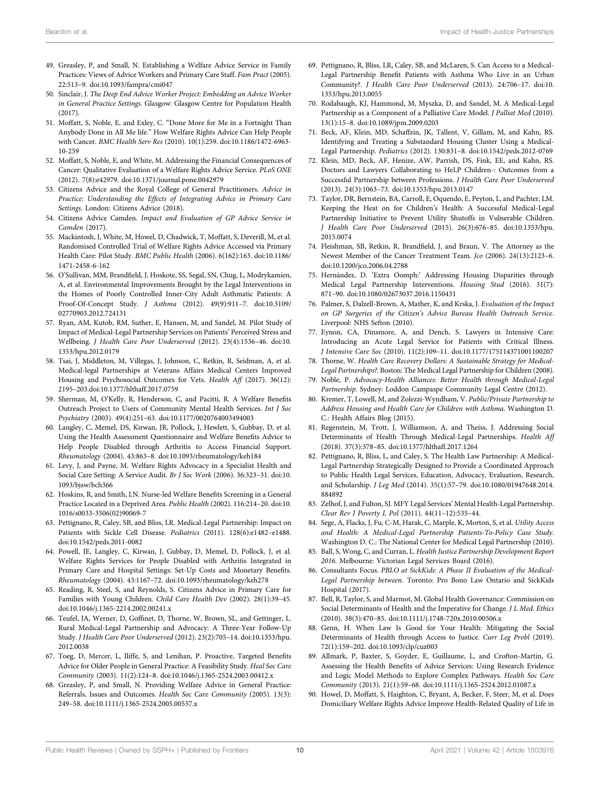- <span id="page-9-0"></span>49. Greasley, P, and Small, N. Establishing a Welfare Advice Service in Family Practices: Views of Advice Workers and Primary Care Staff. Fam Pract (2005). 22:513–9. doi[:10.1093/fampra/cmi047](https://doi.org/10.1093/fampra/cmi047)
- <span id="page-9-1"></span>50. Sinclair, J. The Deep End Advice Worker Project: Embedding an Advice Worker in General Practice Settings. Glasgow: Glasgow Centre for Population Health (2017).
- <span id="page-9-2"></span>51. Moffatt, S, Noble, E, and Exley, C. "Done More for Me in a Fortnight Than Anybody Done in All Me life." How Welfare Rights Advice Can Help People with Cancer. BMC Health Serv Res (2010). 10(1):259. doi:[10.1186/1472-6963-](https://doi.org/10.1186/1472-6963-10-259) [10-259](https://doi.org/10.1186/1472-6963-10-259)
- <span id="page-9-3"></span>52. Moffatt, S, Noble, E, and White, M. Addressing the Financial Consequences of Cancer: Qualitative Evaluation of a Welfare Rights Advice Service. PLoS ONE (2012). 7(8):e42979. doi:[10.1371/journal.pone.0042979](https://doi.org/10.1371/journal.pone.0042979)
- <span id="page-9-4"></span>53. Citizens Advice and the Royal College of General Practitioners. Advice in Practice: Understanding the Effects of Integrating Advice in Primary Care Settings. London: Citizens Advice (2018).
- <span id="page-9-5"></span>54. Citizens Advice Camden. Impact and Evaluation of GP Advice Service in Camden (2017).
- <span id="page-9-6"></span>55. Mackintosh, J, White, M, Howel, D, Chadwick, T, Moffatt, S, Deverill, M, et al. Randomised Controlled Trial of Welfare Rights Advice Accessed via Primary Health Care: Pilot Study. BMC Public Health (2006). 6(162):163. doi:[10.1186/](https://doi.org/10.1186/1471-2458-6-162) [1471-2458-6-162](https://doi.org/10.1186/1471-2458-6-162)
- <span id="page-9-7"></span>56. O'Sullivan, MM, Brandfield, J, Hoskote, SS, Segal, SN, Chug, L, Modrykamien, A, et al. Environmental Improvements Brought by the Legal Interventions in the Homes of Poorly Controlled Inner-City Adult Asthmatic Patients: A Proof-Of-Concept Study. J Asthma (2012). 49(9):911–7. doi:[10.3109/](https://doi.org/10.3109/02770903.2012.724131) [02770903.2012.724131](https://doi.org/10.3109/02770903.2012.724131)
- <span id="page-9-8"></span>57. Ryan, AM, Kutob, RM, Suther, E, Hansen, M, and Sandel, M. Pilot Study of Impact of Medical-Legal Partnership Services on Patients' Perceived Stress and Wellbeing. J Health Care Poor Underserved (2012). 23(4):1536–46. doi[:10.](https://doi.org/10.1353/hpu.2012.0179) [1353/hpu.2012.0179](https://doi.org/10.1353/hpu.2012.0179)
- <span id="page-9-9"></span>58. Tsai, J, Middleton, M, Villegas, J, Johnson, C, Retkin, R, Seidman, A, et al. Medical-legal Partnerships at Veterans Affairs Medical Centers Improved Housing and Psychosocial Outcomes for Vets. Health Aff (2017). 36(12): 2195–203.doi:[10.1377/hlthaff.2017.0759](https://doi.org/10.1377/hlthaff.2017.0759)
- <span id="page-9-10"></span>59. Sherman, M, O'Kelly, R, Henderson, C, and Pacitti, R. A Welfare Benefits Outreach Project to Users of Community Mental Health Services. Int J Soc Psychiatry (2003). 49(4):251–63. doi[:10.1177/0020764003494003](https://doi.org/10.1177/0020764003494003)
- 60. Langley, C, Memel, DS, Kirwan, JR, Pollock, J, Hewlett, S, Gubbay, D, et al. Using the Health Assessment Questionnaire and Welfare Benefits Advice to Help People Disabled through Arthritis to Access Financial Support. Rheumatology (2004). 43:863–8. doi[:10.1093/rheumatology/keh184](https://doi.org/10.1093/rheumatology/keh184)
- <span id="page-9-11"></span>61. Levy, J, and Payne, M. Welfare Rights Advocacy in a Specialist Health and Social Care Setting: A Service Audit. Br J Soc Work (2006). 36:323–31. doi[:10.](https://doi.org/10.1093/bjsw/bch366) [1093/bjsw/bch366](https://doi.org/10.1093/bjsw/bch366)
- 62. Hoskins, R, and Smith, LN. Nurse-led Welfare Benefits Screening in a General Practice Located in a Deprived Area. Public Health (2002). 116:214–20. doi[:10.](https://doi.org/10.1016/s0033-3506(02)90069-7) [1016/s0033-3506\(02\)90069-7](https://doi.org/10.1016/s0033-3506(02)90069-7)
- <span id="page-9-16"></span>63. Pettignano, R, Caley, SB, and Bliss, LR. Medical-Legal Partnership: Impact on Patients with Sickle Cell Disease. Pediatrics (2011). 128(6):e1482–e1488. doi[:10.1542/peds.2011-0082](https://doi.org/10.1542/peds.2011-0082)
- 64. Powell, JE, Langley, C, Kirwan, J, Gubbay, D, Memel, D, Pollock, J, et al. Welfare Rights Services for People Disabled with Arthritis Integrated in Primary Care and Hospital Settings: Set-Up Costs and Monetary Benefits. Rheumatology (2004). 43:1167–72. doi:[10.1093/rheumatology/keh278](https://doi.org/10.1093/rheumatology/keh278)
- <span id="page-9-13"></span>65. Reading, R, Steel, S, and Reynolds, S. Citizens Advice in Primary Care for Families with Young Children. Child Care Health Dev (2002). 28(1):39–45. doi[:10.1046/j.1365-2214.2002.00241.x](https://doi.org/10.1046/j.1365-2214.2002.00241.x)
- <span id="page-9-19"></span>66. Teufel, JA, Werner, D, Goffinet, D, Thorne, W, Brown, SL, and Gettinger, L. Rural Medical-Legal Partnership and Advocacy: A Three-Year Follow-Up Study. J Health Care Poor Underserved (2012). 23(2):705–14. doi[:10.1353/hpu.](https://doi.org/10.1353/hpu.2012.0038) [2012.0038](https://doi.org/10.1353/hpu.2012.0038)
- 67. Toeg, D, Mercer, L, Iliffe, S, and Lenihan, P. Proactive, Targeted Benefits Advice for Older People in General Practice: A Feasibility Study. Heal Soc Care Community (2003). 11(2):124–8. doi[:10.1046/j.1365-2524.2003.00412.x](https://doi.org/10.1046/j.1365-2524.2003.00412.x)
- <span id="page-9-12"></span>68. Greasley, P, and Small, N. Providing Welfare Advice in General Practice: Referrals, Issues and Outcomes. Health Soc Care Community (2005). 13(3): 249–58. doi:[10.1111/j.1365-2524.2005.00557.x](https://doi.org/10.1111/j.1365-2524.2005.00557.x)
- <span id="page-9-14"></span>69. Pettignano, R, Bliss, LR, Caley, SB, and McLaren, S. Can Access to a Medical-Legal Partnership Benefit Patients with Asthma Who Live in an Urban Community?. J Health Care Poor Underserved (2013). 24:706–17. doi[:10.](https://doi.org/10.1353/hpu.2013.0055) [1353/hpu.2013.0055](https://doi.org/10.1353/hpu.2013.0055)
- <span id="page-9-15"></span>70. Rodabaugh, KJ, Hammond, M, Myszka, D, and Sandel, M. A Medical-Legal Partnership as a Component of a Palliative Care Model. J Palliat Med (2010). 13(1):15–8. doi[:10.1089/jpm.2009.0203](https://doi.org/10.1089/jpm.2009.0203)
- <span id="page-9-17"></span>71. Beck, AF, Klein, MD, Schaffzin, JK, Tallent, V, Gillam, M, and Kahn, RS. Identifying and Treating a Substandard Housing Cluster Using a Medical-Legal Partnership. Pediatrics (2012). 130:831–8. doi:[10.1542/peds.2012-0769](https://doi.org/10.1542/peds.2012-0769)
- <span id="page-9-18"></span>72. Klein, MD, Beck, AF, Henize, AW, Parrish, DS, Fink, EE, and Kahn, RS. Doctors and Lawyers Collaborating to HeLP Children-: Outcomes from a Successful Partnership between Professions. J Health Care Poor Underserved (2013). 24(3):1063–73. doi[:10.1353/hpu.2013.0147](https://doi.org/10.1353/hpu.2013.0147)
- <span id="page-9-20"></span>73. Taylor, DR, Bernstein, BA, Carroll, E, Oquendo, E, Peyton, L, and Pachter, LM. Keeping the Heat on for Children's Health: A Successful Medical-Legal Partnership Initiative to Prevent Utility Shutoffs in Vulnerable Children. J Health Care Poor Underserved (2015). 26(3):676–85. doi:[10.1353/hpu.](https://doi.org/10.1353/hpu.2015.0074) [2015.0074](https://doi.org/10.1353/hpu.2015.0074)
- <span id="page-9-21"></span>74. Fleishman, SB, Retkin, R, Brandfield, J, and Braun, V. The Attorney as the Newest Member of the Cancer Treatment Team. Jco (2006). 24(13):2123–6. doi:[10.1200/jco.2006.04.2788](https://doi.org/10.1200/jco.2006.04.2788)
- <span id="page-9-22"></span>75. Hernández, D. 'Extra Oomph:' Addressing Housing Disparities through Medical Legal Partnership Interventions. Housing Stud (2016). 31(7): 871–90. doi:[10.1080/02673037.2016.1150431](https://doi.org/10.1080/02673037.2016.1150431)
- <span id="page-9-23"></span>76. Palmer, S, Dalzell-Brown, A, Mather, K, and Krska, J. Evaluation of the Impact on GP Surgeries of the Citizen's Advice Bureau Health Outreach Service. Liverpool: NHS Sefton (2010).
- <span id="page-9-24"></span>77. Eynon, CA, Dinsmore, A, and Dench, S. Lawyers in Intensive Care: Introducing an Acute Legal Service for Patients with Critical Illness. J Intensive Care Soc (2010). 11(2):109–11. doi[:10.1177/175114371001100207](https://doi.org/10.1177/175114371001100207)
- <span id="page-9-25"></span>78. Thorne, W. Health Care Recovery Dollars: A Sustainable Strategy for Medical-Legal Partnerships?. Boston: The Medical Legal Partnership for Children (2008).
- <span id="page-9-26"></span>79. Noble, P. Advocacy-Health Alliances: Better Health through Medical-Legal Partnership. Sydney: Loddon Campaspe Community Legal Centre (2012).
- <span id="page-9-27"></span>80. Kremer, T, Lowell, M, and Zolezzi-Wyndham, V. Public/Private Partnership to Address Housing and Health Care for Children with Asthma. Washington D. C.: Health Affairs Blog (2015).
- <span id="page-9-28"></span>81. Regenstein, M, Trott, J, Williamson, A, and Theiss, J. Addressing Social Determinants of Health Through Medical-Legal Partnerships. Health Aff (2018). 37(3):378–85. doi:[10.1377/hlthaff.2017.1264](https://doi.org/10.1377/hlthaff.2017.1264)
- <span id="page-9-29"></span>82. Pettignano, R, Bliss, L, and Caley, S. The Health Law Partnership: A Medical-Legal Partnership Strategically Designed to Provide a Coordinated Approach to Public Health Legal Services, Education, Advocacy, Evaluation, Research, and Scholarship. J Leg Med (2014). 35(1):57–79. doi[:10.1080/01947648.2014.](https://doi.org/10.1080/01947648.2014.884892) [884892](https://doi.org/10.1080/01947648.2014.884892)
- <span id="page-9-30"></span>83. Zelhof, J, and Fulton, SJ. MFY Legal Services' Mental Health-Legal Partnership. Clear Rev J Poverty L Pol (2011). 44(11–12):535–44.
- <span id="page-9-31"></span>84. Sege, A, Flacks, J, Fu, C-M, Harak, C, Marple, K, Morton, S, et al. Utility Access and Health: A Medical-Legal Partnership Patients-To-Policy Case Study. Washington D. C.: The National Center for Medical Legal Partnership (2010).
- <span id="page-9-32"></span>85. Ball, S, Wong, C, and Curran, L. Health Justice Partnership Development Report 2016. Melbourne: Victorian Legal Services Board (2016).
- <span id="page-9-33"></span>86. Consultants Focus. PBLO at SickKids: A Phase II Evaluation of the Medical-Legal Partnership between. Toronto: Pro Bono Law Ontario and SickKids Hospital (2017).
- <span id="page-9-34"></span>87. Bell, R, Taylor, S, and Marmot, M. Global Health Governance: Commission on Social Determinants of Health and the Imperative for Change. J L Med. Ethics (2010). 38(3):470–85. doi:[10.1111/j.1748-720x.2010.00506.x](https://doi.org/10.1111/j.1748-720x.2010.00506.x)
- <span id="page-9-35"></span>88. Genn, H. When Law Is Good for Your Health: Mitigating the Social Determinants of Health through Access to Justice. Curr Leg Probl (2019). 72(1):159–202. doi:[10.1093/clp/cuz003](https://doi.org/10.1093/clp/cuz003)
- <span id="page-9-36"></span>89. Allmark, P, Baxter, S, Goyder, E, Guillaume, L, and Crofton-Martin, G. Assessing the Health Benefits of Advice Services: Using Research Evidence and Logic Model Methods to Explore Complex Pathways. Health Soc Care Community (2013). 21(1):59–68. doi[:10.1111/j.1365-2524.2012.01087.x](https://doi.org/10.1111/j.1365-2524.2012.01087.x)
- <span id="page-9-37"></span>90. Howel, D, Moffatt, S, Haighton, C, Bryant, A, Becker, F, Steer, M, et al. Does Domiciliary Welfare Rights Advice Improve Health-Related Quality of Life in